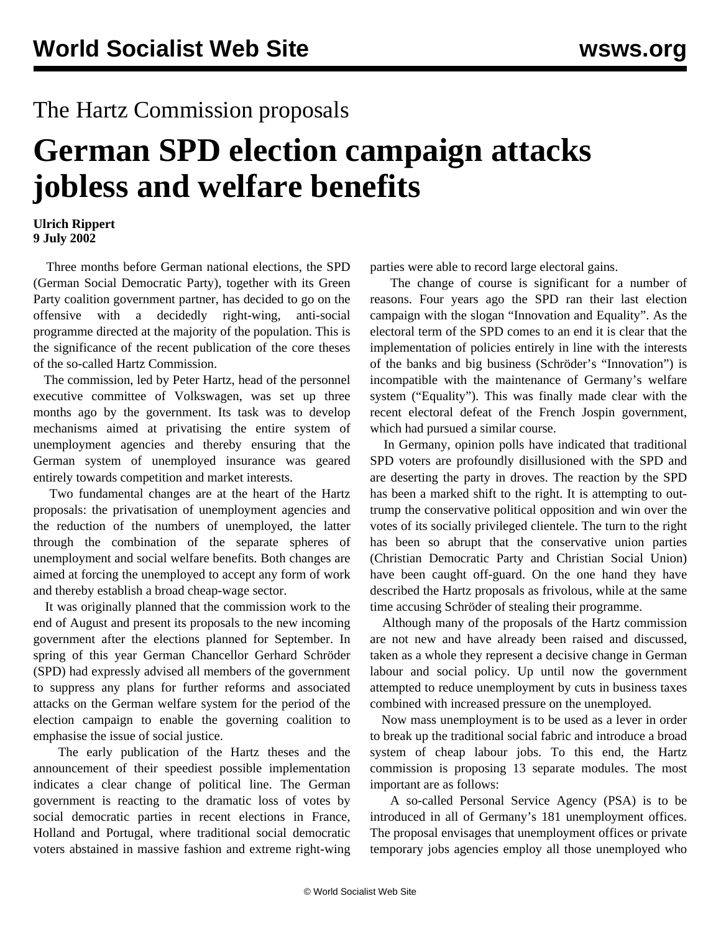## The Hartz Commission proposals

## **German SPD election campaign attacks jobless and welfare benefits**

## **Ulrich Rippert 9 July 2002**

 Three months before German national elections, the SPD (German Social Democratic Party), together with its Green Party coalition government partner, has decided to go on the offensive with a decidedly right-wing, anti-social programme directed at the majority of the population. This is the significance of the recent publication of the core theses of the so-called Hartz Commission.

 The commission, led by Peter Hartz, head of the personnel executive committee of Volkswagen, was set up three months ago by the government. Its task was to develop mechanisms aimed at privatising the entire system of unemployment agencies and thereby ensuring that the German system of unemployed insurance was geared entirely towards competition and market interests.

 Two fundamental changes are at the heart of the Hartz proposals: the privatisation of unemployment agencies and the reduction of the numbers of unemployed, the latter through the combination of the separate spheres of unemployment and social welfare benefits. Both changes are aimed at forcing the unemployed to accept any form of work and thereby establish a broad cheap-wage sector.

 It was originally planned that the commission work to the end of August and present its proposals to the new incoming government after the elections planned for September. In spring of this year German Chancellor Gerhard Schröder (SPD) had expressly advised all members of the government to suppress any plans for further reforms and associated attacks on the German welfare system for the period of the election campaign to enable the governing coalition to emphasise the issue of social justice.

 The early publication of the Hartz theses and the announcement of their speediest possible implementation indicates a clear change of political line. The German government is reacting to the dramatic loss of votes by social democratic parties in recent elections in France, Holland and Portugal, where traditional social democratic voters abstained in massive fashion and extreme right-wing

parties were able to record large electoral gains.

 The change of course is significant for a number of reasons. Four years ago the SPD ran their last election campaign with the slogan "Innovation and Equality". As the electoral term of the SPD comes to an end it is clear that the implementation of policies entirely in line with the interests of the banks and big business (Schröder's "Innovation") is incompatible with the maintenance of Germany's welfare system ("Equality"). This was finally made clear with the recent electoral defeat of the French Jospin government, which had pursued a similar course.

 In Germany, opinion polls have indicated that traditional SPD voters are profoundly disillusioned with the SPD and are deserting the party in droves. The reaction by the SPD has been a marked shift to the right. It is attempting to outtrump the conservative political opposition and win over the votes of its socially privileged clientele. The turn to the right has been so abrupt that the conservative union parties (Christian Democratic Party and Christian Social Union) have been caught off-guard. On the one hand they have described the Hartz proposals as frivolous, while at the same time accusing Schröder of stealing their programme.

 Although many of the proposals of the Hartz commission are not new and have already been raised and discussed, taken as a whole they represent a decisive change in German labour and social policy. Up until now the government attempted to reduce unemployment by cuts in business taxes combined with increased pressure on the unemployed.

 Now mass unemployment is to be used as a lever in order to break up the traditional social fabric and introduce a broad system of cheap labour jobs. To this end, the Hartz commission is proposing 13 separate modules. The most important are as follows:

 A so-called Personal Service Agency (PSA) is to be introduced in all of Germany's 181 unemployment offices. The proposal envisages that unemployment offices or private temporary jobs agencies employ all those unemployed who